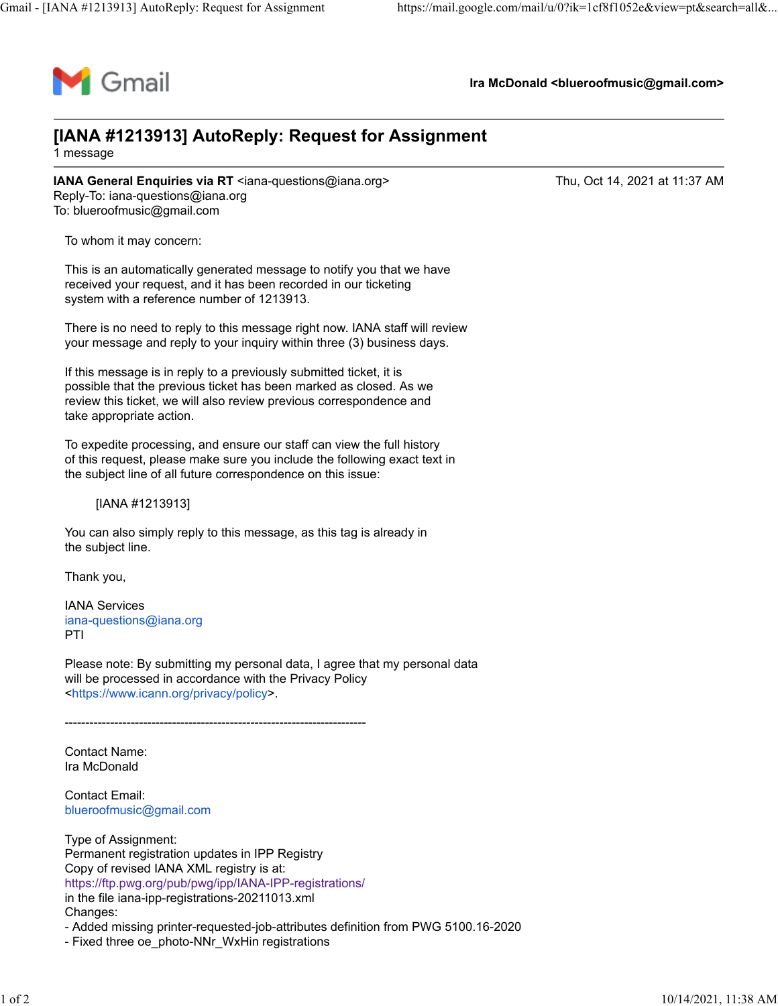

**Ira McDonald <blueroofmusic@gmail.com>**

## **[IANA #1213913] AutoReply: Request for Assignment**

1 message

**IANA General Enquiries via RT** <iana-questions@iana.org> Thu, Oct 14, 2021 at 11:37 AM Reply-To: iana-questions@iana.org To: blueroofmusic@gmail.com

To whom it may concern:

This is an automatically generated message to notify you that we have received your request, and it has been recorded in our ticketing system with a reference number of 1213913.

There is no need to reply to this message right now. IANA staff will review your message and reply to your inquiry within three (3) business days.

If this message is in reply to a previously submitted ticket, it is possible that the previous ticket has been marked as closed. As we review this ticket, we will also review previous correspondence and take appropriate action.

To expedite processing, and ensure our staff can view the full history of this request, please make sure you include the following exact text in the subject line of all future correspondence on this issue:

[IANA #1213913]

You can also simply reply to this message, as this tag is already in the subject line.

Thank you,

IANA Services [iana-questions@iana.org](mailto:iana-questions@iana.org) PTI

Please note: By submitting my personal data, I agree that my personal data will be processed in accordance with the Privacy Policy [<https://www.icann.org/privacy/policy>](https://www.icann.org/privacy/policy).

-------------------------------------------------------------------------

Contact Name: Ira McDonald

Contact Email: [blueroofmusic@gmail.com](mailto:blueroofmusic@gmail.com)

Type of Assignment: Permanent registration updates in IPP Registry Copy of revised IANA XML registry is at: <https://ftp.pwg.org/pub/pwg/ipp/IANA-IPP-registrations/> in the file iana-ipp-registrations-20211013.xml Changes:

- Added missing printer-requested-job-attributes definition from PWG 5100.16-2020

- Fixed three oe\_photo-NNr\_WxHin registrations